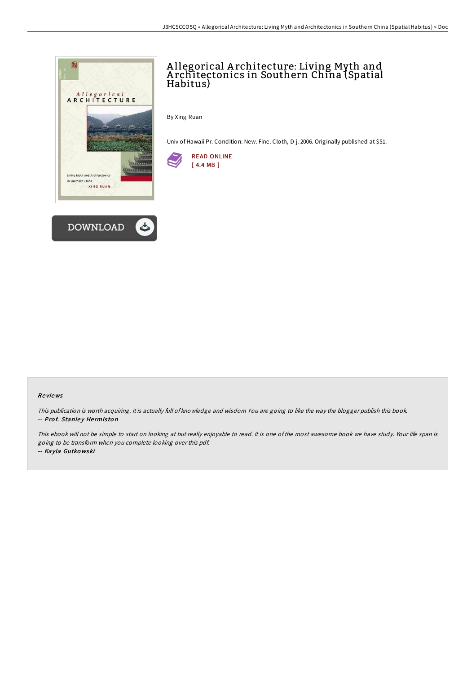



# A llegorical A rchitecture: Living Myth and A rchitectonics in Southern China (Spatial Habitus)

By Xing Ruan

Univ of Hawaii Pr. Condition: New. Fine. Cloth, D-j. 2006. Originally published at \$51.



#### Re views

This publication is worth acquiring. It is actually full of knowledge and wisdom You are going to like the way the blogger publish this book. -- Prof. Stanley Hermiston

This ebook will not be simple to start on looking at but really enjoyable to read. It is one of the most awesome book we have study. Your life span is going to be transform when you complete looking over this pdf. -- Kayla Gutko wski